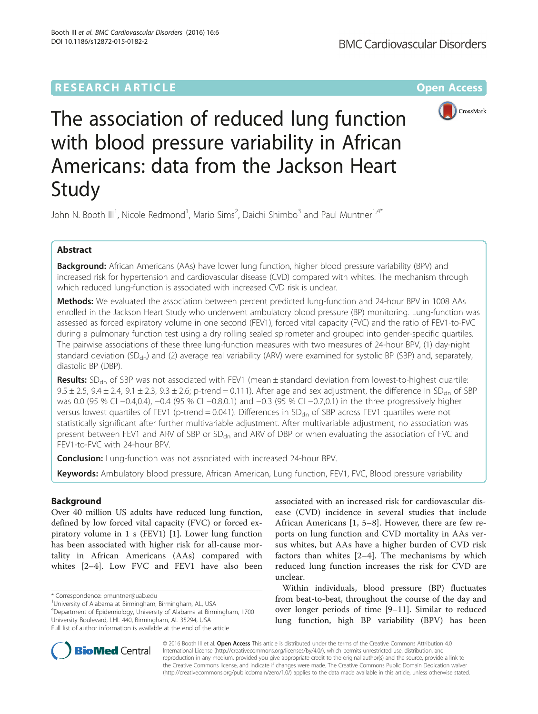# **RESEARCH ARTICLE Example 2014 12:30 The Contract of Contract ACCESS**



The association of reduced lung function with blood pressure variability in African Americans: data from the Jackson Heart Study

John N. Booth III<sup>1</sup>, Nicole Redmond<sup>1</sup>, Mario Sims<sup>2</sup>, Daichi Shimbo<sup>3</sup> and Paul Muntner<sup>1,4\*</sup>

## Abstract

Background: African Americans (AAs) have lower lung function, higher blood pressure variability (BPV) and increased risk for hypertension and cardiovascular disease (CVD) compared with whites. The mechanism through which reduced lung-function is associated with increased CVD risk is unclear.

Methods: We evaluated the association between percent predicted lung-function and 24-hour BPV in 1008 AAs enrolled in the Jackson Heart Study who underwent ambulatory blood pressure (BP) monitoring. Lung-function was assessed as forced expiratory volume in one second (FEV1), forced vital capacity (FVC) and the ratio of FEV1-to-FVC during a pulmonary function test using a dry rolling sealed spirometer and grouped into gender-specific quartiles. The pairwise associations of these three lung-function measures with two measures of 24-hour BPV, (1) day-night standard deviation (SD<sub>dn</sub>) and (2) average real variability (ARV) were examined for systolic BP (SBP) and, separately, diastolic BP (DBP).

**Results:**  $SD<sub>dn</sub>$  of SBP was not associated with FEV1 (mean  $\pm$  standard deviation from lowest-to-highest quartile:  $9.5 \pm 2.5$ ,  $9.4 \pm 2.4$ ,  $9.1 \pm 2.3$ ,  $9.3 \pm 2.6$ ; p-trend = 0.111). After age and sex adjustment, the difference in SD<sub>dn</sub> of SBP was 0.0 (95 % CI −0.4,0.4), −0.4 (95 % CI −0.8,0.1) and −0.3 (95 % CI −0.7,0.1) in the three progressively higher versus lowest quartiles of FEV1 (p-trend = 0.041). Differences in  $SD<sub>dn</sub>$  of SBP across FEV1 quartiles were not statistically significant after further multivariable adjustment. After multivariable adjustment, no association was present between FEV1 and ARV of SBP or SD<sub>dn</sub> and ARV of DBP or when evaluating the association of FVC and FEV1-to-FVC with 24-hour BPV.

**Conclusion:** Lung-function was not associated with increased 24-hour BPV.

Keywords: Ambulatory blood pressure, African American, Lung function, FEV1, FVC, Blood pressure variability

## Background

Over 40 million US adults have reduced lung function, defined by low forced vital capacity (FVC) or forced expiratory volume in 1 s (FEV1) [[1\]](#page-8-0). Lower lung function has been associated with higher risk for all-cause mortality in African Americans (AAs) compared with whites [\[2](#page-8-0)–[4](#page-8-0)]. Low FVC and FEV1 have also been

<sup>1</sup>University of Alabama at Birmingham, Birmingham, AL, USA 4 Department of Epidemiology, University of Alabama at Birmingham, 1700 University Boulevard, LHL 440, Birmingham, AL 35294, USA Full list of author information is available at the end of the article

associated with an increased risk for cardiovascular disease (CVD) incidence in several studies that include African Americans [\[1](#page-8-0), [5](#page-8-0)–[8\]](#page-8-0). However, there are few reports on lung function and CVD mortality in AAs versus whites, but AAs have a higher burden of CVD risk factors than whites [[2](#page-8-0)–[4\]](#page-8-0). The mechanisms by which reduced lung function increases the risk for CVD are unclear.

Within individuals, blood pressure (BP) fluctuates from beat-to-beat, throughout the course of the day and over longer periods of time [[9](#page-8-0)–[11](#page-8-0)]. Similar to reduced lung function, high BP variability (BPV) has been



© 2016 Booth III et al. Open Access This article is distributed under the terms of the Creative Commons Attribution 4.0 International License [\(http://creativecommons.org/licenses/by/4.0/](http://creativecommons.org/licenses/by/4.0/)), which permits unrestricted use, distribution, and reproduction in any medium, provided you give appropriate credit to the original author(s) and the source, provide a link to the Creative Commons license, and indicate if changes were made. The Creative Commons Public Domain Dedication waiver [\(http://creativecommons.org/publicdomain/zero/1.0/](http://creativecommons.org/publicdomain/zero/1.0/)) applies to the data made available in this article, unless otherwise stated.

<sup>\*</sup> Correspondence: [pmuntner@uab.edu](mailto:pmuntner@uab.edu) <sup>1</sup>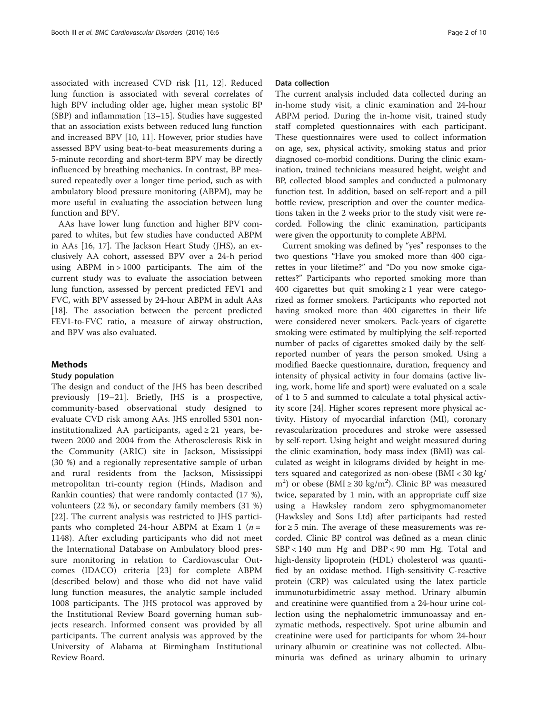associated with increased CVD risk [\[11](#page-8-0), [12](#page-8-0)]. Reduced lung function is associated with several correlates of high BPV including older age, higher mean systolic BP (SBP) and inflammation [\[13](#page-8-0)–[15\]](#page-8-0). Studies have suggested that an association exists between reduced lung function and increased BPV [[10](#page-8-0), [11\]](#page-8-0). However, prior studies have assessed BPV using beat-to-beat measurements during a 5-minute recording and short-term BPV may be directly influenced by breathing mechanics. In contrast, BP measured repeatedly over a longer time period, such as with ambulatory blood pressure monitoring (ABPM), may be more useful in evaluating the association between lung function and BPV.

AAs have lower lung function and higher BPV compared to whites, but few studies have conducted ABPM in AAs [\[16, 17](#page-8-0)]. The Jackson Heart Study (JHS), an exclusively AA cohort, assessed BPV over a 24-h period using ABPM in > 1000 participants. The aim of the current study was to evaluate the association between lung function, assessed by percent predicted FEV1 and FVC, with BPV assessed by 24-hour ABPM in adult AAs [[18\]](#page-8-0). The association between the percent predicted FEV1-to-FVC ratio, a measure of airway obstruction, and BPV was also evaluated.

### Methods

### Study population

The design and conduct of the JHS has been described previously [[19](#page-8-0)–[21\]](#page-9-0). Briefly, JHS is a prospective, community-based observational study designed to evaluate CVD risk among AAs. JHS enrolled 5301 noninstitutionalized AA participants, aged  $\geq$  21 years, between 2000 and 2004 from the Atherosclerosis Risk in the Community (ARIC) site in Jackson, Mississippi (30 %) and a regionally representative sample of urban and rural residents from the Jackson, Mississippi metropolitan tri-county region (Hinds, Madison and Rankin counties) that were randomly contacted (17 %), volunteers (22 %), or secondary family members (31 %) [[22\]](#page-9-0). The current analysis was restricted to JHS participants who completed 24-hour ABPM at Exam 1 ( $n =$ 1148). After excluding participants who did not meet the International Database on Ambulatory blood pressure monitoring in relation to Cardiovascular Outcomes (IDACO) criteria [[23\]](#page-9-0) for complete ABPM (described below) and those who did not have valid lung function measures, the analytic sample included 1008 participants. The JHS protocol was approved by the Institutional Review Board governing human subjects research. Informed consent was provided by all participants. The current analysis was approved by the University of Alabama at Birmingham Institutional Review Board.

### Data collection

The current analysis included data collected during an in-home study visit, a clinic examination and 24-hour ABPM period. During the in-home visit, trained study staff completed questionnaires with each participant. These questionnaires were used to collect information on age, sex, physical activity, smoking status and prior diagnosed co-morbid conditions. During the clinic examination, trained technicians measured height, weight and BP, collected blood samples and conducted a pulmonary function test. In addition, based on self-report and a pill bottle review, prescription and over the counter medications taken in the 2 weeks prior to the study visit were recorded. Following the clinic examination, participants were given the opportunity to complete ABPM.

Current smoking was defined by "yes" responses to the two questions "Have you smoked more than 400 cigarettes in your lifetime?" and "Do you now smoke cigarettes?" Participants who reported smoking more than 400 cigarettes but quit smoking  $\geq 1$  year were categorized as former smokers. Participants who reported not having smoked more than 400 cigarettes in their life were considered never smokers. Pack-years of cigarette smoking were estimated by multiplying the self-reported number of packs of cigarettes smoked daily by the selfreported number of years the person smoked. Using a modified Baecke questionnaire, duration, frequency and intensity of physical activity in four domains (active living, work, home life and sport) were evaluated on a scale of 1 to 5 and summed to calculate a total physical activity score [[24\]](#page-9-0). Higher scores represent more physical activity. History of myocardial infarction (MI), coronary revascularization procedures and stroke were assessed by self-report. Using height and weight measured during the clinic examination, body mass index (BMI) was calculated as weight in kilograms divided by height in meters squared and categorized as non-obese (BMI < 30 kg/ m<sup>2</sup>) or obese (BMI  $\geq$  30 kg/m<sup>2</sup>). Clinic BP was measured twice, separated by 1 min, with an appropriate cuff size using a Hawksley random zero sphygmomanometer (Hawksley and Sons Ltd) after participants had rested for  $\geq$  5 min. The average of these measurements was recorded. Clinic BP control was defined as a mean clinic SBP < 140 mm Hg and DBP < 90 mm Hg. Total and high-density lipoprotein (HDL) cholesterol was quantified by an oxidase method. High-sensitivity C-reactive protein (CRP) was calculated using the latex particle immunoturbidimetric assay method. Urinary albumin and creatinine were quantified from a 24-hour urine collection using the nephalometric immunoassay and enzymatic methods, respectively. Spot urine albumin and creatinine were used for participants for whom 24-hour urinary albumin or creatinine was not collected. Albuminuria was defined as urinary albumin to urinary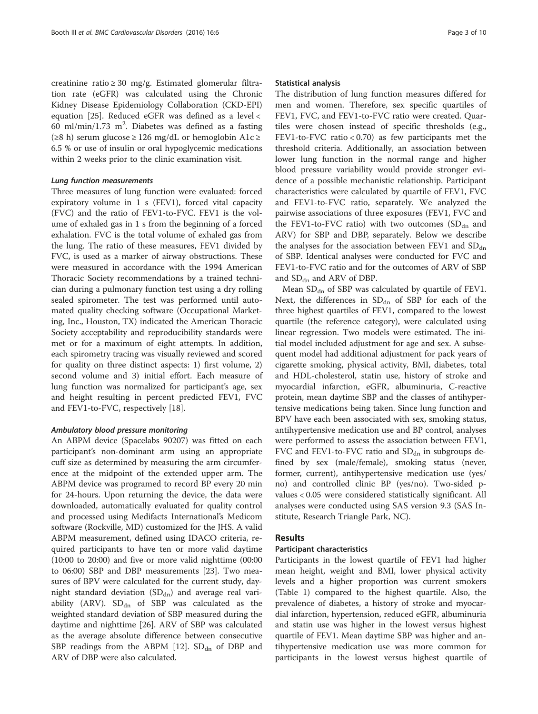creatinine ratio ≥ 30 mg/g. Estimated glomerular filtration rate (eGFR) was calculated using the Chronic Kidney Disease Epidemiology Collaboration (CKD-EPI) equation [[25\]](#page-9-0). Reduced eGFR was defined as a level < 60 ml/min/1.73 m<sup>2</sup>. Diabetes was defined as a fasting (≥8 h) serum glucose ≥ 126 mg/dL or hemoglobin A1c ≥ 6.5 % or use of insulin or oral hypoglycemic medications within 2 weeks prior to the clinic examination visit.

### Lung function measurements

Three measures of lung function were evaluated: forced expiratory volume in 1 s (FEV1), forced vital capacity (FVC) and the ratio of FEV1-to-FVC. FEV1 is the volume of exhaled gas in 1 s from the beginning of a forced exhalation. FVC is the total volume of exhaled gas from the lung. The ratio of these measures, FEV1 divided by FVC, is used as a marker of airway obstructions. These were measured in accordance with the 1994 American Thoracic Society recommendations by a trained technician during a pulmonary function test using a dry rolling sealed spirometer. The test was performed until automated quality checking software (Occupational Marketing, Inc., Houston, TX) indicated the American Thoracic Society acceptability and reproducibility standards were met or for a maximum of eight attempts. In addition, each spirometry tracing was visually reviewed and scored for quality on three distinct aspects: 1) first volume, 2) second volume and 3) initial effort. Each measure of lung function was normalized for participant's age, sex and height resulting in percent predicted FEV1, FVC and FEV1-to-FVC, respectively [\[18](#page-8-0)].

### Ambulatory blood pressure monitoring

An ABPM device (Spacelabs 90207) was fitted on each participant's non-dominant arm using an appropriate cuff size as determined by measuring the arm circumference at the midpoint of the extended upper arm. The ABPM device was programed to record BP every 20 min for 24-hours. Upon returning the device, the data were downloaded, automatically evaluated for quality control and processed using Medifacts International's Medicom software (Rockville, MD) customized for the JHS. A valid ABPM measurement, defined using IDACO criteria, required participants to have ten or more valid daytime (10:00 to 20:00) and five or more valid nighttime (00:00 to 06:00) SBP and DBP measurements [[23\]](#page-9-0). Two measures of BPV were calculated for the current study, daynight standard deviation  $(SD_{dn})$  and average real variability (ARV).  $SD_{dn}$  of SBP was calculated as the weighted standard deviation of SBP measured during the daytime and nighttime [\[26](#page-9-0)]. ARV of SBP was calculated as the average absolute difference between consecutive SBP readings from the ABPM [\[12](#page-8-0)].  $SD<sub>dn</sub>$  of DBP and ARV of DBP were also calculated.

#### Statistical analysis

The distribution of lung function measures differed for men and women. Therefore, sex specific quartiles of FEV1, FVC, and FEV1-to-FVC ratio were created. Quartiles were chosen instead of specific thresholds (e.g., FEV1-to-FVC ratio  $< 0.70$ ) as few participants met the threshold criteria. Additionally, an association between lower lung function in the normal range and higher blood pressure variability would provide stronger evidence of a possible mechanistic relationship. Participant characteristics were calculated by quartile of FEV1, FVC and FEV1-to-FVC ratio, separately. We analyzed the pairwise associations of three exposures (FEV1, FVC and the FEV1-to-FVC ratio) with two outcomes  $(SD<sub>dn</sub>$  and ARV) for SBP and DBP, separately. Below we describe the analyses for the association between FEV1 and  $SD<sub>dn</sub>$ of SBP. Identical analyses were conducted for FVC and FEV1-to-FVC ratio and for the outcomes of ARV of SBP and  $SD<sub>dn</sub>$  and ARV of DBP.

Mean  $SD<sub>dn</sub>$  of SBP was calculated by quartile of FEV1. Next, the differences in  $SD<sub>dn</sub>$  of SBP for each of the three highest quartiles of FEV1, compared to the lowest quartile (the reference category), were calculated using linear regression. Two models were estimated. The initial model included adjustment for age and sex. A subsequent model had additional adjustment for pack years of cigarette smoking, physical activity, BMI, diabetes, total and HDL-cholesterol, statin use, history of stroke and myocardial infarction, eGFR, albuminuria, C-reactive protein, mean daytime SBP and the classes of antihypertensive medications being taken. Since lung function and BPV have each been associated with sex, smoking status, antihypertensive medication use and BP control, analyses were performed to assess the association between FEV1, FVC and FEV1-to-FVC ratio and  $SD<sub>dn</sub>$  in subgroups defined by sex (male/female), smoking status (never, former, current), antihypertensive medication use (yes/ no) and controlled clinic BP (yes/no). Two-sided pvalues < 0.05 were considered statistically significant. All analyses were conducted using SAS version 9.3 (SAS Institute, Research Triangle Park, NC).

### Results

#### Participant characteristics

Participants in the lowest quartile of FEV1 had higher mean height, weight and BMI, lower physical activity levels and a higher proportion was current smokers (Table [1](#page-3-0)) compared to the highest quartile. Also, the prevalence of diabetes, a history of stroke and myocardial infarction, hypertension, reduced eGFR, albuminuria and statin use was higher in the lowest versus highest quartile of FEV1. Mean daytime SBP was higher and antihypertensive medication use was more common for participants in the lowest versus highest quartile of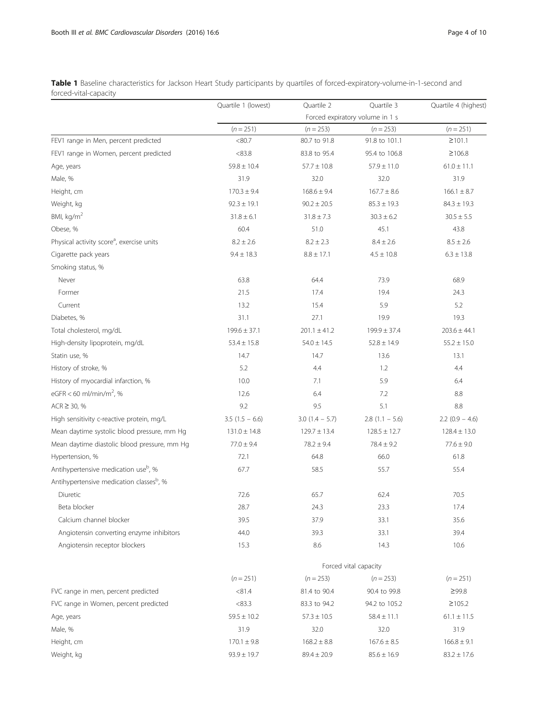<span id="page-3-0"></span>

| Table 1 Baseline characteristics for Jackson Heart Study participants by quartiles of forced-expiratory-volume-in-1-second and |  |  |  |
|--------------------------------------------------------------------------------------------------------------------------------|--|--|--|
| forced-vital-capacity                                                                                                          |  |  |  |

|                                                       | Quartile 1 (lowest)   | Quartile 2        | Quartile 3                      | Quartile 4 (highest) |  |
|-------------------------------------------------------|-----------------------|-------------------|---------------------------------|----------------------|--|
|                                                       |                       |                   | Forced expiratory volume in 1 s |                      |  |
|                                                       | $(n = 251)$           | $(n = 253)$       | $(n = 253)$                     | $(n = 251)$          |  |
| FEV1 range in Men, percent predicted                  | <80.7                 | 80.7 to 91.8      | 91.8 to 101.1                   | $\geq 101.1$         |  |
| FEV1 range in Women, percent predicted                | < 83.8                | 83.8 to 95.4      | 95.4 to 106.8                   | ≥106.8               |  |
| Age, years                                            | $59.8 \pm 10.4$       | $57.7 \pm 10.8$   | $57.9 \pm 11.0$                 | $61.0 \pm 11.1$      |  |
| Male, %                                               | 31.9                  | 32.0              | 32.0                            | 31.9                 |  |
| Height, cm                                            | $170.3 \pm 9.4$       | $168.6 \pm 9.4$   | $167.7 \pm 8.6$                 | $166.1 \pm 8.7$      |  |
| Weight, kg                                            | $92.3 \pm 19.1$       | $90.2 \pm 20.5$   | $85.3 \pm 19.3$                 | $84.3 \pm 19.3$      |  |
| BMI, kg/m <sup>2</sup>                                | $31.8 \pm 6.1$        | $31.8 \pm 7.3$    | $30.3 \pm 6.2$                  | $30.5 \pm 5.5$       |  |
| Obese, %                                              | 60.4                  | 51.0              | 45.1                            | 43.8                 |  |
| Physical activity score <sup>a</sup> , exercise units | $8.2 \pm 2.6$         | $8.2 \pm 2.3$     | $8.4 \pm 2.6$                   | $8.5 \pm 2.6$        |  |
| Cigarette pack years                                  | $9.4 \pm 18.3$        | $8.8 \pm 17.1$    | $4.5 \pm 10.8$                  | $6.3 \pm 13.8$       |  |
| Smoking status, %                                     |                       |                   |                                 |                      |  |
| Never                                                 | 63.8                  | 64.4              | 73.9                            | 68.9                 |  |
| Former                                                | 21.5                  | 17.4              | 19.4                            | 24.3                 |  |
| Current                                               | 13.2                  | 15.4              | 5.9                             | 5.2                  |  |
| Diabetes, %                                           | 31.1                  | 27.1              | 19.9                            | 19.3                 |  |
| Total cholesterol, mg/dL                              | $199.6 \pm 37.1$      | $201.1 \pm 41.2$  | $199.9 \pm 37.4$                | $203.6 \pm 44.1$     |  |
| High-density lipoprotein, mg/dL                       | $53.4 \pm 15.8$       | $54.0 \pm 14.5$   | $52.8 \pm 14.9$                 | $55.2 \pm 15.0$      |  |
| Statin use, %                                         | 14.7                  | 14.7              | 13.6                            | 13.1                 |  |
| History of stroke, %                                  | 5.2                   | 4.4               | 1.2                             | 4.4                  |  |
| History of myocardial infarction, %                   | 10.0                  | 7.1               | 5.9                             | 6.4                  |  |
| eGFR < 60 ml/min/m <sup>2</sup> , %                   | 12.6                  | 6.4               | 7.2                             | 8.8                  |  |
| $ACR \ge 30, %$                                       | 9.2                   | 9.5               | 5.1                             | $8.8\,$              |  |
| High sensitivity c-reactive protein, mg/L             | $3.5(1.5 - 6.6)$      | $3.0$ (1.4 - 5.7) | $2.8(1.1 - 5.6)$                | $2.2(0.9 - 4.6)$     |  |
| Mean daytime systolic blood pressure, mm Hg           | $131.0 \pm 14.8$      | $129.7 \pm 13.4$  | $128.5 \pm 12.7$                | $128.4 \pm 13.0$     |  |
| Mean daytime diastolic blood pressure, mm Hg          | $77.0 \pm 9.4$        | $78.2 \pm 9.4$    | $78.4 \pm 9.2$                  | $77.6 \pm 9.0$       |  |
| Hypertension, %                                       | 72.1                  | 64.8              | 66.0                            | 61.8                 |  |
| Antihypertensive medication use <sup>b</sup> , %      | 67.7                  | 58.5              | 55.7                            | 55.4                 |  |
| Antihypertensive medication classes <sup>b</sup> , %  |                       |                   |                                 |                      |  |
| Diuretic                                              | 72.6                  | 65.7              | 62.4                            | 70.5                 |  |
| Beta blocker                                          | 28.7                  | 24.3              | 23.3                            | 17.4                 |  |
| Calcium channel blocker                               | 39.5                  | 37.9              | 33.1                            | 35.6                 |  |
| Angiotensin converting enzyme inhibitors              | 44.0                  | 39.3              | 33.1                            | 39.4                 |  |
| Angiotensin receptor blockers                         | 15.3                  | 8.6               | 14.3                            | 10.6                 |  |
|                                                       | Forced vital capacity |                   |                                 |                      |  |
|                                                       | $(n = 251)$           | $(n = 253)$       | $(n = 253)$                     | $(n = 251)$          |  |
| FVC range in men, percent predicted                   | < 81.4                | 81.4 to 90.4      | 90.4 to 99.8                    | ≥99.8                |  |
| FVC range in Women, percent predicted                 | < 83.3                | 83.3 to 94.2      | 94.2 to 105.2                   | $\geq 105.2$         |  |
| Age, years                                            | $59.5 \pm 10.2$       | $57.3 \pm 10.5$   | $58.4 \pm 11.1$                 | $61.1 \pm 11.5$      |  |
| Male, %                                               | 31.9                  | 32.0              | 32.0                            | 31.9                 |  |
| Height, cm                                            | $170.1 \pm 9.8$       | $168.2 \pm 8.8$   | $167.6 \pm 8.5$                 | $166.8 \pm 9.1$      |  |
| Weight, kg                                            | $93.9 \pm 19.7$       | $89.4 \pm 20.9$   | $85.6 \pm 16.9$                 | $83.2 \pm 17.6$      |  |
|                                                       |                       |                   |                                 |                      |  |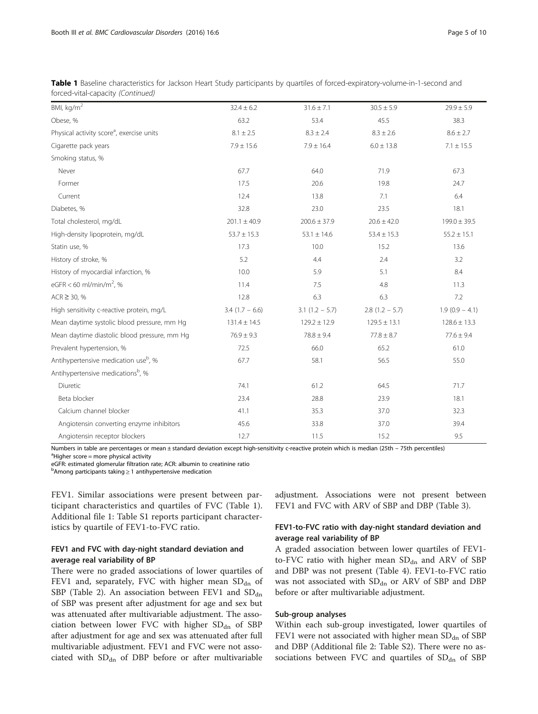| BMI, kg/m <sup>2</sup>                                | $32.4 \pm 6.2$   | $31.6 \pm 7.1$   | $30.5 \pm 5.9$   | $29.9 \pm 5.9$   |
|-------------------------------------------------------|------------------|------------------|------------------|------------------|
| Obese, %                                              | 63.2             | 53.4             | 45.5             | 38.3             |
| Physical activity score <sup>a</sup> , exercise units | $8.1 \pm 2.5$    | $8.3 \pm 2.4$    | $8.3 \pm 2.6$    | $8.6 \pm 2.7$    |
| Cigarette pack years                                  | $7.9 \pm 15.6$   | $7.9 \pm 16.4$   | $6.0 \pm 13.8$   | $7.1 \pm 15.5$   |
| Smoking status, %                                     |                  |                  |                  |                  |
| Never                                                 | 67.7             | 64.0             | 71.9             | 67.3             |
| Former                                                | 17.5             | 20.6             | 19.8             | 24.7             |
| Current                                               | 12.4             | 13.8             | 7.1              | 6.4              |
| Diabetes, %                                           | 32.8             | 23.0             | 23.5             | 18.1             |
| Total cholesterol, mg/dL                              | $201.1 \pm 40.9$ | $200.6 \pm 37.9$ | $20.6 \pm 42.0$  | $199.0 \pm 39.5$ |
| High-density lipoprotein, mg/dL                       | $53.7 \pm 15.3$  | $53.1 \pm 14.6$  | $53.4 \pm 15.3$  | $55.2 \pm 15.1$  |
| Statin use, %                                         | 17.3             | 10.0             | 15.2             | 13.6             |
| History of stroke, %                                  | 5.2              | 4.4              | 2.4              | 3.2              |
| History of myocardial infarction, %                   | 10.0             | 5.9              | 5.1              | 8.4              |
| eGFR < 60 ml/min/m <sup>2</sup> , %                   | 11.4             | 7.5              | 4.8              | 11.3             |
| $ACR \ge 30, %$                                       | 12.8             | 6.3              | 6.3              | 7.2              |
| High sensitivity c-reactive protein, mg/L             | $3.4(1.7 - 6.6)$ | $3.1(1.2 - 5.7)$ | $2.8(1.2 - 5.7)$ | $1.9(0.9 - 4.1)$ |
| Mean daytime systolic blood pressure, mm Hg           | $131.4 \pm 14.5$ | $129.2 \pm 12.9$ | $129.5 \pm 13.1$ | $128.6 \pm 13.3$ |
| Mean daytime diastolic blood pressure, mm Hg          | $76.9 \pm 9.3$   | $78.8 \pm 9.4$   | $77.8 \pm 8.7$   | $77.6 \pm 9.4$   |
| Prevalent hypertension, %                             | 72.5             | 66.0             | 65.2             | 61.0             |
| Antihypertensive medication use <sup>b</sup> , %      | 67.7             | 58.1             | 56.5             | 55.0             |
| Antihypertensive medications <sup>b</sup> , %         |                  |                  |                  |                  |
| Diuretic                                              | 74.1             | 61.2             | 64.5             | 71.7             |
| Beta blocker                                          | 23.4             | 28.8             | 23.9             | 18.1             |
| Calcium channel blocker                               | 41.1             | 35.3             | 37.0             | 32.3             |
| Angiotensin converting enzyme inhibitors              | 45.6             | 33.8             | 37.0             | 39.4             |
| Angiotensin receptor blockers                         | 12.7             | 11.5             | 15.2             | 9.5              |

Table 1 Baseline characteristics for Jackson Heart Study participants by quartiles of forced-expiratory-volume-in-1-second and forced-vital-capacity (Continued)

Numbers in table are percentages or mean ± standard deviation except high-sensitivity c-reactive protein which is median (25th – 75th percentiles)

 $a$ Higher score = more physical activity

eGFR: estimated glomerular filtration rate; ACR: albumin to creatinine ratio

b Among participants taking ≥ 1 antihypertensive medication

FEV1. Similar associations were present between participant characteristics and quartiles of FVC (Table [1](#page-3-0)). Additional file [1](#page-8-0): Table S1 reports participant characteristics by quartile of FEV1-to-FVC ratio.

### FEV1 and FVC with day-night standard deviation and average real variability of BP

There were no graded associations of lower quartiles of FEV1 and, separately, FVC with higher mean  $SD<sub>dn</sub>$  of SBP (Table [2\)](#page-5-0). An association between FEV1 and  $SD<sub>dn</sub>$ of SBP was present after adjustment for age and sex but was attenuated after multivariable adjustment. The association between lower FVC with higher  $SD<sub>dn</sub>$  of SBP after adjustment for age and sex was attenuated after full multivariable adjustment. FEV1 and FVC were not associated with  $SD<sub>dn</sub>$  of DBP before or after multivariable adjustment. Associations were not present between FEV1 and FVC with ARV of SBP and DBP (Table [3\)](#page-6-0).

### FEV1-to-FVC ratio with day-night standard deviation and average real variability of BP

A graded association between lower quartiles of FEV1 to-FVC ratio with higher mean  $SD<sub>dn</sub>$  and ARV of SBP and DBP was not present (Table [4](#page-7-0)). FEV1-to-FVC ratio was not associated with  $SD<sub>dn</sub>$  or ARV of SBP and DBP before or after multivariable adjustment.

### Sub-group analyses

Within each sub-group investigated, lower quartiles of FEV1 were not associated with higher mean  $SD<sub>dn</sub>$  of SBP and DBP (Additional file [2](#page-8-0): Table S2). There were no associations between FVC and quartiles of  $SD<sub>dn</sub>$  of SBP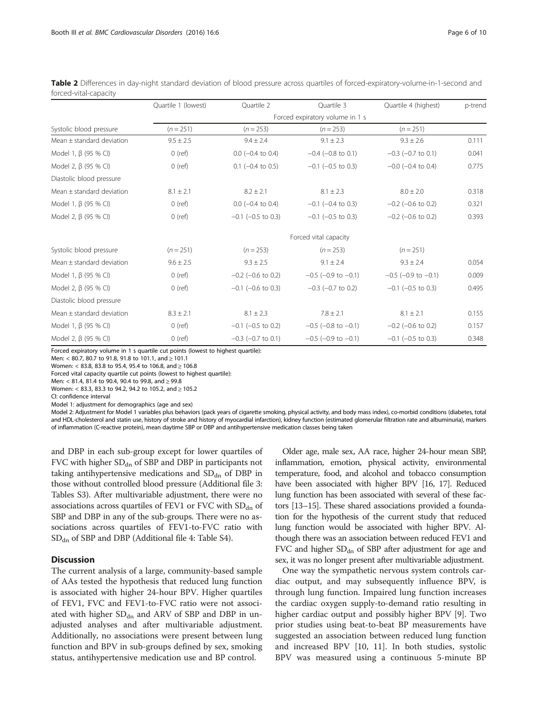|                               | Quartile 1 (lowest)             | Quartile 2                | Quartile 3                  | Quartile 4 (highest)        | p-trend |  |  |
|-------------------------------|---------------------------------|---------------------------|-----------------------------|-----------------------------|---------|--|--|
|                               | Forced expiratory volume in 1 s |                           |                             |                             |         |  |  |
| Systolic blood pressure       | $(n = 251)$                     | $(n = 253)$               | $(n = 253)$                 | $(n = 251)$                 |         |  |  |
| Mean $\pm$ standard deviation | $9.5 \pm 2.5$                   | $9.4 \pm 2.4$             | $9.1 \pm 2.3$               | $9.3 \pm 2.6$               | 0.111   |  |  |
| Model 1, $\beta$ (95 % CI)    | $0$ (ref)                       | $0.0$ ( $-0.4$ to $0.4$ ) | $-0.4$ ( $-0.8$ to 0.1)     | $-0.3$ ( $-0.7$ to 0.1)     | 0.041   |  |  |
| Model 2, β (95 % CI)          | $0$ (ref)                       | $0.1$ (-0.4 to 0.5)       | $-0.1$ ( $-0.5$ to 0.3)     | $-0.0$ ( $-0.4$ to 0.4)     | 0.775   |  |  |
| Diastolic blood pressure      |                                 |                           |                             |                             |         |  |  |
| Mean $\pm$ standard deviation | $8.1 \pm 2.1$                   | $8.2 \pm 2.1$             | $8.1 \pm 2.3$               | $8.0 \pm 2.0$               | 0.318   |  |  |
| Model 1, $\beta$ (95 % CI)    | $0$ (ref)                       | $0.0$ ( $-0.4$ to $0.4$ ) | $-0.1$ ( $-0.4$ to 0.3)     | $-0.2$ ( $-0.6$ to 0.2)     | 0.321   |  |  |
| Model 2, β (95 % CI)          | $0$ (ref)                       | $-0.1$ ( $-0.5$ to 0.3)   | $-0.1$ ( $-0.5$ to 0.3)     | $-0.2$ ( $-0.6$ to 0.2)     | 0.393   |  |  |
|                               |                                 |                           | Forced vital capacity       |                             |         |  |  |
| Systolic blood pressure       | $(n = 251)$                     | $(n = 253)$               | $(n = 253)$                 | $(n = 251)$                 |         |  |  |
| Mean $\pm$ standard deviation | $9.6 \pm 2.5$                   | $9.3 \pm 2.5$             | $9.1 \pm 2.4$               | $9.3 \pm 2.4$               | 0.054   |  |  |
| Model 1, $\beta$ (95 % CI)    | $0$ (ref)                       | $-0.2$ ( $-0.6$ to 0.2)   | $-0.5$ ( $-0.9$ to $-0.1$ ) | $-0.5$ ( $-0.9$ to $-0.1$ ) | 0.009   |  |  |
| Model 2, β (95 % CI)          | $0$ (ref)                       | $-0.1$ ( $-0.6$ to 0.3)   | $-0.3$ ( $-0.7$ to 0.2)     | $-0.1$ ( $-0.5$ to 0.3)     | 0.495   |  |  |
| Diastolic blood pressure      |                                 |                           |                             |                             |         |  |  |
| Mean $\pm$ standard deviation | $8.3 \pm 2.1$                   | $8.1 \pm 2.3$             | $7.8 \pm 2.1$               | $8.1 \pm 2.1$               | 0.155   |  |  |
| Model 1, $\beta$ (95 % CI)    | $0$ (ref)                       | $-0.1$ ( $-0.5$ to 0.2)   | $-0.5$ ( $-0.8$ to $-0.1$ ) | $-0.2$ ( $-0.6$ to 0.2)     | 0.157   |  |  |
| Model 2, β (95 % CI)          | $0$ (ref)                       | $-0.3$ ( $-0.7$ to 0.1)   | $-0.5$ ( $-0.9$ to $-0.1$ ) | $-0.1$ ( $-0.5$ to 0.3)     | 0.348   |  |  |

<span id="page-5-0"></span>Table 2 Differences in day-night standard deviation of blood pressure across quartiles of forced-expiratory-volume-in-1-second and forced-vital-capacity

Forced expiratory volume in 1 s quartile cut points (lowest to highest quartile):

Men: < 80.7, 80.7 to 91.8, 91.8 to 101.1, and ≥ 101.1

Women: < 83.8, 83.8 to 95.4, 95.4 to 106.8, and ≥ 106.8

Forced vital capacity quartile cut points (lowest to highest quartile):

Men: < 81.4, 81.4 to 90.4, 90.4 to 99.8, and ≥ 99.8

Women: < 83.3, 83.3 to 94.2, 94.2 to 105.2, and ≥ 105.2

CI: confidence interval

Model 1: adjustment for demographics (age and sex)

Model 2: Adjustment for Model 1 variables plus behaviors (pack years of cigarette smoking, physical activity, and body mass index), co-morbid conditions (diabetes, total and HDL-cholesterol and statin use, history of stroke and history of myocardial infarction), kidney function (estimated glomerular filtration rate and albuminuria), markers of inflammation (C-reactive protein), mean daytime SBP or DBP and antihypertensive medication classes being taken

and DBP in each sub-group except for lower quartiles of FVC with higher  $SD_{dn}$  of SBP and DBP in participants not taking antihypertensive medications and  $SD<sub>dn</sub>$  of DBP in those without controlled blood pressure (Additional file [3](#page-8-0): Tables S3). After multivariable adjustment, there were no associations across quartiles of FEV1 or FVC with  $SD<sub>dn</sub>$  of SBP and DBP in any of the sub-groups. There were no associations across quartiles of FEV1-to-FVC ratio with  $SD<sub>dn</sub>$  of SBP and DBP (Additional file [4](#page-8-0): Table S4).

### **Discussion**

The current analysis of a large, community-based sample of AAs tested the hypothesis that reduced lung function is associated with higher 24-hour BPV. Higher quartiles of FEV1, FVC and FEV1-to-FVC ratio were not associated with higher  $SD<sub>dn</sub>$  and ARV of SBP and DBP in unadjusted analyses and after multivariable adjustment. Additionally, no associations were present between lung function and BPV in sub-groups defined by sex, smoking status, antihypertensive medication use and BP control.

Older age, male sex, AA race, higher 24-hour mean SBP, inflammation, emotion, physical activity, environmental temperature, food, and alcohol and tobacco consumption have been associated with higher BPV [\[16](#page-8-0), [17](#page-8-0)]. Reduced lung function has been associated with several of these factors [\[13](#page-8-0)–[15](#page-8-0)]. These shared associations provided a foundation for the hypothesis of the current study that reduced lung function would be associated with higher BPV. Although there was an association between reduced FEV1 and FVC and higher  $SD<sub>dn</sub>$  of SBP after adjustment for age and sex, it was no longer present after multivariable adjustment.

One way the sympathetic nervous system controls cardiac output, and may subsequently influence BPV, is through lung function. Impaired lung function increases the cardiac oxygen supply-to-demand ratio resulting in higher cardiac output and possibly higher BPV [\[9](#page-8-0)]. Two prior studies using beat-to-beat BP measurements have suggested an association between reduced lung function and increased BPV [\[10, 11](#page-8-0)]. In both studies, systolic BPV was measured using a continuous 5-minute BP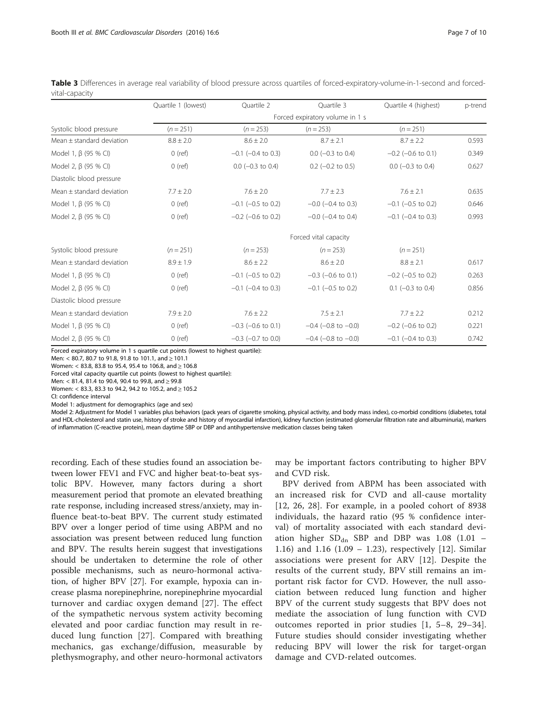|                               | Quartile 1 (lowest)             | Quartile 2              | Ouartile 3                  | Quartile 4 (highest)    | p-trend |  |  |
|-------------------------------|---------------------------------|-------------------------|-----------------------------|-------------------------|---------|--|--|
|                               | Forced expiratory volume in 1 s |                         |                             |                         |         |  |  |
| Systolic blood pressure       | $(n = 251)$                     | $(n = 253)$             | $(n = 253)$                 | $(n = 251)$             |         |  |  |
| Mean $\pm$ standard deviation | $8.8 \pm 2.0$                   | $8.6 \pm 2.0$           | $8.7 \pm 2.1$               | $8.7 \pm 2.2$           | 0.593   |  |  |
| Model 1, $\beta$ (95 % CI)    | $0$ (ref)                       | $-0.1$ ( $-0.4$ to 0.3) | $0.0$ (-0.3 to 0.4)         | $-0.2$ ( $-0.6$ to 0.1) | 0.349   |  |  |
| Model 2, β (95 % CI)          | $0$ (ref)                       | $0.0$ ( $-0.3$ to 0.4)  | $0.2$ (-0.2 to 0.5)         | $0.0$ (-0.3 to 0.4)     | 0.627   |  |  |
| Diastolic blood pressure      |                                 |                         |                             |                         |         |  |  |
| Mean $\pm$ standard deviation | $7.7 \pm 2.0$                   | $7.6 \pm 2.0$           | $7.7 \pm 2.3$               | $7.6 \pm 2.1$           | 0.635   |  |  |
| Model 1, $\beta$ (95 % CI)    | $0$ (ref)                       | $-0.1$ ( $-0.5$ to 0.2) | $-0.0$ ( $-0.4$ to 0.3)     | $-0.1$ ( $-0.5$ to 0.2) | 0.646   |  |  |
| Model 2, β (95 % CI)          | $0$ (ref)                       | $-0.2$ ( $-0.6$ to 0.2) | $-0.0$ ( $-0.4$ to 0.4)     | $-0.1$ ( $-0.4$ to 0.3) | 0.993   |  |  |
|                               |                                 |                         | Forced vital capacity       |                         |         |  |  |
| Systolic blood pressure       | $(n = 251)$                     | $(n = 253)$             | $(n = 253)$                 | $(n = 251)$             |         |  |  |
| Mean $\pm$ standard deviation | $8.9 \pm 1.9$                   | $8.6 \pm 2.2$           | $8.6 \pm 2.0$               | $8.8 \pm 2.1$           | 0.617   |  |  |
| Model 1, $\beta$ (95 % CI)    | $0$ (ref)                       | $-0.1$ ( $-0.5$ to 0.2) | $-0.3$ ( $-0.6$ to 0.1)     | $-0.2$ ( $-0.5$ to 0.2) | 0.263   |  |  |
| Model 2, $\beta$ (95 % CI)    | $0$ (ref)                       | $-0.1$ ( $-0.4$ to 0.3) | $-0.1$ ( $-0.5$ to 0.2)     | $0.1$ (-0.3 to 0.4)     | 0.856   |  |  |
| Diastolic blood pressure      |                                 |                         |                             |                         |         |  |  |
| Mean $\pm$ standard deviation | $7.9 \pm 2.0$                   | $7.6 \pm 2.2$           | $7.5 \pm 2.1$               | $7.7 \pm 2.2$           | 0.212   |  |  |
| Model 1, $\beta$ (95 % CI)    | $0$ (ref)                       | $-0.3$ ( $-0.6$ to 0.1) | $-0.4$ ( $-0.8$ to $-0.0$ ) | $-0.2$ ( $-0.6$ to 0.2) | 0.221   |  |  |
| Model 2, $\beta$ (95 % CI)    | $0$ (ref)                       | $-0.3$ ( $-0.7$ to 0.0) | $-0.4$ ( $-0.8$ to $-0.0$ ) | $-0.1$ ( $-0.4$ to 0.3) | 0.742   |  |  |

<span id="page-6-0"></span>Table 3 Differences in average real variability of blood pressure across quartiles of forced-expiratory-volume-in-1-second and forcedvital-capacity

Forced expiratory volume in 1 s quartile cut points (lowest to highest quartile):

Men: < 80.7, 80.7 to 91.8, 91.8 to 101.1, and ≥ 101.1

Women: < 83.8, 83.8 to 95.4, 95.4 to 106.8, and ≥ 106.8

Forced vital capacity quartile cut points (lowest to highest quartile):

Men: < 81.4, 81.4 to 90.4, 90.4 to 99.8, and ≥ 99.8

Women: < 83.3, 83.3 to 94.2, 94.2 to 105.2, and ≥ 105.2

CI: confidence interval

Model 1: adjustment for demographics (age and sex)

Model 2: Adjustment for Model 1 variables plus behaviors (pack years of cigarette smoking, physical activity, and body mass index), co-morbid conditions (diabetes, total and HDL-cholesterol and statin use, history of stroke and history of myocardial infarction), kidney function (estimated glomerular filtration rate and albuminuria), markers of inflammation (C-reactive protein), mean daytime SBP or DBP and antihypertensive medication classes being taken

recording. Each of these studies found an association between lower FEV1 and FVC and higher beat-to-beat systolic BPV. However, many factors during a short measurement period that promote an elevated breathing rate response, including increased stress/anxiety, may influence beat-to-beat BPV. The current study estimated BPV over a longer period of time using ABPM and no association was present between reduced lung function and BPV. The results herein suggest that investigations should be undertaken to determine the role of other possible mechanisms, such as neuro-hormonal activation, of higher BPV [\[27\]](#page-9-0). For example, hypoxia can increase plasma norepinephrine, norepinephrine myocardial turnover and cardiac oxygen demand [[27\]](#page-9-0). The effect of the sympathetic nervous system activity becoming elevated and poor cardiac function may result in reduced lung function [[27](#page-9-0)]. Compared with breathing mechanics, gas exchange/diffusion, measurable by plethysmography, and other neuro-hormonal activators may be important factors contributing to higher BPV and CVD risk.

BPV derived from ABPM has been associated with an increased risk for CVD and all-cause mortality [[12](#page-8-0), [26, 28](#page-9-0)]. For example, in a pooled cohort of 8938 individuals, the hazard ratio (95 % confidence interval) of mortality associated with each standard deviation higher  $SD<sub>dn</sub>$  SBP and DBP was 1.08 (1.01 – 1.16) and 1.16 (1.09 – 1.23), respectively [[12](#page-8-0)]. Similar associations were present for ARV [[12\]](#page-8-0). Despite the results of the current study, BPV still remains an important risk factor for CVD. However, the null association between reduced lung function and higher BPV of the current study suggests that BPV does not mediate the association of lung function with CVD outcomes reported in prior studies [\[1](#page-8-0), [5](#page-8-0)–[8](#page-8-0), [29](#page-9-0)–[34](#page-9-0)]. Future studies should consider investigating whether reducing BPV will lower the risk for target-organ damage and CVD-related outcomes.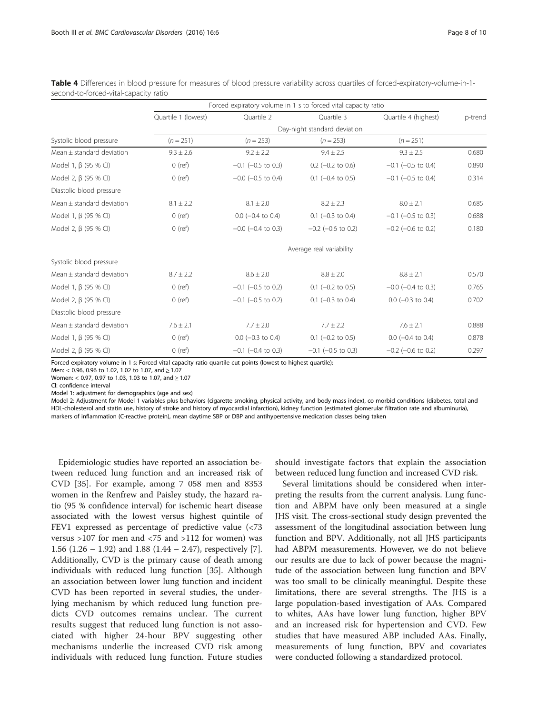|                               | Forced expiratory volume in 1 s to forced vital capacity ratio |                         |                              |                         |         |  |
|-------------------------------|----------------------------------------------------------------|-------------------------|------------------------------|-------------------------|---------|--|
|                               | Quartile 1 (lowest)                                            | Quartile 2              | Ouartile 3                   | Quartile 4 (highest)    | p-trend |  |
|                               |                                                                |                         | Day-night standard deviation |                         |         |  |
| Systolic blood pressure       | $(n = 251)$                                                    | $(n = 253)$             | $(n = 253)$                  | $(n = 251)$             |         |  |
| Mean $\pm$ standard deviation | $9.3 \pm 2.6$                                                  | $9.2 \pm 2.2$           | $9.4 \pm 2.5$                | $9.3 \pm 2.5$           | 0.680   |  |
| Model 1, $\beta$ (95 % CI)    | $0$ (ref)                                                      | $-0.1$ ( $-0.5$ to 0.3) | $0.2$ (-0.2 to 0.6)          | $-0.1$ ( $-0.5$ to 0.4) | 0.890   |  |
| Model 2, β (95 % CI)          | $0$ (ref)                                                      | $-0.0$ ( $-0.5$ to 0.4) | $0.1$ (-0.4 to 0.5)          | $-0.1$ ( $-0.5$ to 0.4) | 0.314   |  |
| Diastolic blood pressure      |                                                                |                         |                              |                         |         |  |
| Mean $\pm$ standard deviation | $8.1 \pm 2.2$                                                  | $8.1 \pm 2.0$           | $8.2 \pm 2.3$                | $8.0 \pm 2.1$           | 0.685   |  |
| Model 1, $\beta$ (95 % CI)    | $0$ (ref)                                                      | $0.0$ (-0.4 to 0.4)     | $0.1$ (-0.3 to 0.4)          | $-0.1$ ( $-0.5$ to 0.3) | 0.688   |  |
| Model 2, β (95 % CI)          | $0$ (ref)                                                      | $-0.0$ ( $-0.4$ to 0.3) | $-0.2$ ( $-0.6$ to 0.2)      | $-0.2$ ( $-0.6$ to 0.2) | 0.180   |  |
|                               | Average real variability                                       |                         |                              |                         |         |  |
| Systolic blood pressure       |                                                                |                         |                              |                         |         |  |
| Mean $\pm$ standard deviation | $8.7 \pm 2.2$                                                  | $8.6 \pm 2.0$           | $8.8 \pm 2.0$                | $8.8 \pm 2.1$           | 0.570   |  |
| Model 1, $\beta$ (95 % CI)    | $-0.1$ ( $-0.5$ to 0.2)<br>$0$ (ref)                           |                         | $0.1$ (-0.2 to 0.5)          | $-0.0$ ( $-0.4$ to 0.3) | 0.765   |  |
| Model 2, β (95 % CI)          | $0$ (ref)                                                      | $-0.1$ ( $-0.5$ to 0.2) | $0.1$ (-0.3 to 0.4)          | $0.0$ (-0.3 to 0.4)     | 0.702   |  |
| Diastolic blood pressure      |                                                                |                         |                              |                         |         |  |
| Mean $\pm$ standard deviation | $7.6 \pm 2.1$                                                  | $7.7 \pm 2.0$           | $7.7 \pm 2.2$                | $7.6 \pm 2.1$           | 0.888   |  |
| Model 1, $\beta$ (95 % CI)    | $0$ (ref)                                                      | $0.0$ (-0.3 to 0.4)     | $0.1$ (-0.2 to 0.5)          | $0.0$ (-0.4 to 0.4)     | 0.878   |  |
| Model 2, $\beta$ (95 % CI)    | $0$ (ref)                                                      | $-0.1$ ( $-0.4$ to 0.3) | $-0.1$ ( $-0.5$ to 0.3)      | $-0.2$ ( $-0.6$ to 0.2) | 0.297   |  |

<span id="page-7-0"></span>

| Table 4 Differences in blood pressure for measures of blood pressure variability across quartiles of forced-expiratory-volume-in-1- |  |  |  |
|-------------------------------------------------------------------------------------------------------------------------------------|--|--|--|
| second-to-forced-vital-capacity ratio                                                                                               |  |  |  |

Forced expiratory volume in 1 s: Forced vital capacity ratio quartile cut points (lowest to highest quartile):

Men: < 0.96, 0.96 to 1.02, 1.02 to 1.07, and ≥ 1.07

Women: < 0.97, 0.97 to 1.03, 1.03 to 1.07, and ≥ 1.07

CI: confidence interval

Model 1: adjustment for demographics (age and sex)

Model 2: Adjustment for Model 1 variables plus behaviors (cigarette smoking, physical activity, and body mass index), co-morbid conditions (diabetes, total and HDL-cholesterol and statin use, history of stroke and history of myocardial infarction), kidney function (estimated glomerular filtration rate and albuminuria), markers of inflammation (C-reactive protein), mean daytime SBP or DBP and antihypertensive medication classes being taken

Epidemiologic studies have reported an association between reduced lung function and an increased risk of CVD [[35](#page-9-0)]. For example, among 7 058 men and 8353 women in the Renfrew and Paisley study, the hazard ratio (95 % confidence interval) for ischemic heart disease associated with the lowest versus highest quintile of FEV1 expressed as percentage of predictive value (<73 versus >107 for men and <75 and >112 for women) was 1.56 (1.26 – 1.92) and 1.88 (1.44 – 2.47), respectively [\[7](#page-8-0)]. Additionally, CVD is the primary cause of death among individuals with reduced lung function [[35\]](#page-9-0). Although an association between lower lung function and incident CVD has been reported in several studies, the underlying mechanism by which reduced lung function predicts CVD outcomes remains unclear. The current results suggest that reduced lung function is not associated with higher 24-hour BPV suggesting other mechanisms underlie the increased CVD risk among individuals with reduced lung function. Future studies

should investigate factors that explain the association between reduced lung function and increased CVD risk.

Several limitations should be considered when interpreting the results from the current analysis. Lung function and ABPM have only been measured at a single JHS visit. The cross-sectional study design prevented the assessment of the longitudinal association between lung function and BPV. Additionally, not all JHS participants had ABPM measurements. However, we do not believe our results are due to lack of power because the magnitude of the association between lung function and BPV was too small to be clinically meaningful. Despite these limitations, there are several strengths. The JHS is a large population-based investigation of AAs. Compared to whites, AAs have lower lung function, higher BPV and an increased risk for hypertension and CVD. Few studies that have measured ABP included AAs. Finally, measurements of lung function, BPV and covariates were conducted following a standardized protocol.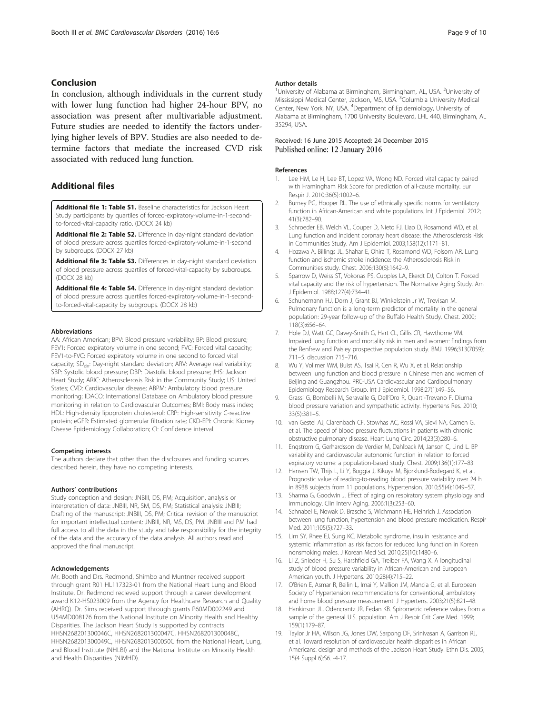### <span id="page-8-0"></span>Conclusion

In conclusion, although individuals in the current study with lower lung function had higher 24-hour BPV, no association was present after multivariable adjustment. Future studies are needed to identify the factors underlying higher levels of BPV. Studies are also needed to determine factors that mediate the increased CVD risk associated with reduced lung function.

### Additional files

[Additional file 1: Table S1.](dx.doi.org/10.1186/s12872-015-0182-2) Baseline characteristics for Jackson Heart Study participants by quartiles of forced-expiratory-volume-in-1-secondto-forced-vital-capacity ratio. (DOCX 24 kb)

[Additional file 2: Table S2.](dx.doi.org/10.1186/s12872-015-0182-2) Difference in day-night standard deviation of blood pressure across quartiles forced-expiratory-volume-in-1-second by subgroups. (DOCX 27 kb)

[Additional file 3: Table S3.](dx.doi.org/10.1186/s12872-015-0182-2) Differences in day-night standard deviation of blood pressure across quartiles of forced-vital-capacity by subgroups. (DOCX 28 kb)

[Additional file 4: Table S4.](dx.doi.org/10.1186/s12872-015-0182-2) Difference in day-night standard deviation of blood pressure across quartiles forced-expiratory-volume-in-1-secondto-forced-vital-capacity by subgroups. (DOCX 28 kb)

#### Abbreviations

AA: African American; BPV: Blood pressure variability; BP: Blood pressure; FEV1: Forced expiratory volume in one second; FVC: Forced vital capacity; FEV1-to-FVC: Forced expiratory volume in one second to forced vital capacity; SD<sub>dn</sub>: Day-night standard deviation; ARV: Average real variability; SBP: Systolic blood pressure; DBP: Diastolic blood pressure; JHS: Jackson Heart Study; ARIC: Atherosclerosis Risk in the Community Study; US: United States; CVD: Cardiovascular disease; ABPM: Ambulatory blood pressure monitoring; IDACO: International Database on Ambulatory blood pressure monitoring in relation to Cardiovascular Outcomes; BMI: Body mass index; HDL: High-density lipoprotein cholesterol; CRP: High-sensitivity C-reactive protein; eGFR: Estimated glomerular filtration rate; CKD-EPI: Chronic Kidney Disease Epidemiology Collaboration; CI: Confidence interval.

#### Competing interests

The authors declare that other than the disclosures and funding sources described herein, they have no competing interests.

#### Authors' contributions

Study conception and design: JNBIII, DS, PM; Acquisition, analysis or interpretation of data: JNBIII, NR, SM, DS, PM; Statistical analysis: JNBIII; Drafting of the manuscript: JNBIII, DS, PM; Critical revision of the manuscript for important intellectual content: JNBIII, NR, MS, DS, PM. JNBIII and PM had full access to all the data in the study and take responsibility for the integrity of the data and the accuracy of the data analysis. All authors read and approved the final manuscript.

#### Acknowledgements

Mr. Booth and Drs. Redmond, Shimbo and Muntner received support through grant R01 HL117323-01 from the National Heart Lung and Blood Institute. Dr. Redmond recieved support through a career development award K12-HS023009 from the Agency for Healthcare Research and Quality (AHRQ). Dr. Sims received support through grants P60MD002249 and U54MD008176 from the National Institute on Minority Health and Healthy Disparities. The Jackson Heart Study is supported by contracts HHSN268201300046C, HHSN268201300047C, HHSN268201300048C, HHSN268201300049C, HHSN268201300050C from the National Heart, Lung, and Blood Institute (NHLBI) and the National Institute on Minority Health and Health Disparities (NIMHD).

#### Author details

<sup>1</sup> University of Alabama at Birmingham, Birmingham, AL, USA. <sup>2</sup> University of Mississippi Medical Center, Jackson, MS, USA. <sup>3</sup>Columbia University Medical Center, New York, NY, USA. <sup>4</sup>Department of Epidemiology, University of Alabama at Birmingham, 1700 University Boulevard, LHL 440, Birmingham, AL 35294, USA.

### Received: 16 June 2015 Accepted: 24 December 2015 Published online: 12 January 2016

#### References

- 1. Lee HM, Le H, Lee BT, Lopez VA, Wong ND. Forced vital capacity paired with Framingham Risk Score for prediction of all-cause mortality. Eur Respir J. 2010;36(5):1002–6.
- 2. Burney PG, Hooper RL. The use of ethnically specific norms for ventilatory function in African-American and white populations. Int J Epidemiol. 2012; 41(3):782–90.
- 3. Schroeder EB, Welch VL, Couper D, Nieto FJ, Liao D, Rosamond WD, et al. Lung function and incident coronary heart disease: the Atherosclerosis Risk in Communities Study. Am J Epidemiol. 2003;158(12):1171–81.
- 4. Hozawa A, Billings JL, Shahar E, Ohira T, Rosamond WD, Folsom AR. Lung function and ischemic stroke incidence: the Atherosclerosis Risk in Communities study. Chest. 2006;130(6):1642–9.
- 5. Sparrow D, Weiss ST, Vokonas PS, Cupples LA, Ekerdt DJ, Colton T. Forced vital capacity and the risk of hypertension. The Normative Aging Study. Am J Epidemiol. 1988;127(4):734–41.
- 6. Schunemann HJ, Dorn J, Grant BJ, Winkelstein Jr W, Trevisan M. Pulmonary function is a long-term predictor of mortality in the general population: 29-year follow-up of the Buffalo Health Study. Chest. 2000; 118(3):656–64.
- Hole DJ, Watt GC, Davey-Smith G, Hart CL, Gillis CR, Hawthorne VM. Impaired lung function and mortality risk in men and women: findings from the Renfrew and Paisley prospective population study. BMJ. 1996;313(7059): 711–5. discussion 715–716.
- 8. Wu Y, Vollmer WM, Buist AS, Tsai R, Cen R, Wu X, et al. Relationship between lung function and blood pressure in Chinese men and women of Beijing and Guangzhou. PRC-USA Cardiovascular and Cardiopulmonary Epidemiology Research Group. Int J Epidemiol. 1998;27(1):49–56.
- 9. Grassi G, Bombelli M, Seravalle G, Dell'Oro R, Quarti-Trevano F. Diurnal blood pressure variation and sympathetic activity. Hypertens Res. 2010; 33(5):381–5.
- 10. van Gestel AJ, Clarenbach CF, Stowhas AC, Rossi VA, Sievi NA, Camen G, et al. The speed of blood pressure fluctuations in patients with chronic obstructive pulmonary disease. Heart Lung Circ. 2014;23(3):280–6.
- 11. Engstrom G, Gerhardsson de Verdier M, Dahlback M, Janson C, Lind L. BP variability and cardiovascular autonomic function in relation to forced expiratory volume: a population-based study. Chest. 2009;136(1):177–83.
- 12. Hansen TW, Thijs L, Li Y, Boggia J, Kikuya M, Bjorklund-Bodegard K, et al. Prognostic value of reading-to-reading blood pressure variability over 24 h in 8938 subjects from 11 populations. Hypertension. 2010;55(4):1049–57.
- 13. Sharma G, Goodwin J. Effect of aging on respiratory system physiology and immunology. Clin Interv Aging. 2006;1(3):253–60.
- 14. Schnabel E, Nowak D, Brasche S, Wichmann HE, Heinrich J. Association between lung function, hypertension and blood pressure medication. Respir Med. 2011;105(5):727–33.
- 15. Lim SY, Rhee EJ, Sung KC. Metabolic syndrome, insulin resistance and systemic inflammation as risk factors for reduced lung function in Korean nonsmoking males. J Korean Med Sci. 2010;25(10):1480–6.
- 16. Li Z, Snieder H, Su S, Harshfield GA, Treiber FA, Wang X. A longitudinal study of blood pressure variability in African-American and European American youth. J Hypertens. 2010;28(4):715–22.
- 17. O'Brien E, Asmar R, Beilin L, Imai Y, Mallion JM, Mancia G, et al. European Society of Hypertension recommendations for conventional, ambulatory and home blood pressure measurement. J Hypertens. 2003;21(5):821–48.
- 18. Hankinson JL, Odencrantz JR, Fedan KB. Spirometric reference values from a sample of the general U.S. population. Am J Respir Crit Care Med. 1999; 159(1):179–87.
- 19. Taylor Jr HA, Wilson JG, Jones DW, Sarpong DF, Srinivasan A, Garrison RJ, et al. Toward resolution of cardiovascular health disparities in African Americans: design and methods of the Jackson Heart Study. Ethn Dis. 2005; 15(4 Suppl 6):S6. -4-17.